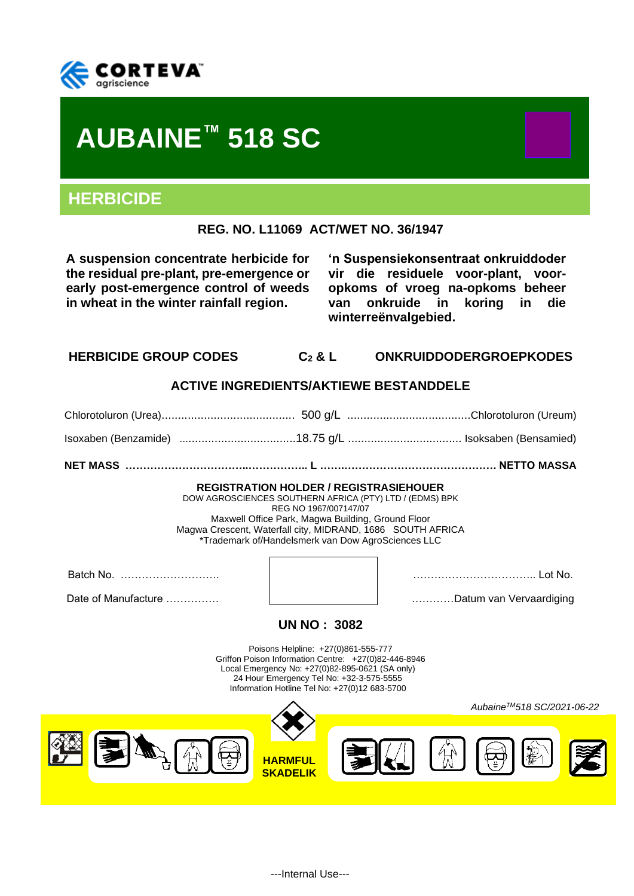

# **AUBAINE™ 518 SC**

# **HERBICIDE**

**REG. NO. L11069 ACT/WET NO. 36/1947**

**A suspension concentrate herbicide for the residual pre-plant, pre-emergence or early post-emergence control of weeds in wheat in the winter rainfall region.**

**'n Suspensiekonsentraat onkruiddoder vir die residuele voor-plant, vooropkoms of vroeg na-opkoms beheer van onkruide in koring in die winterreënvalgebied.**

# **HERBICIDE GROUP CODES C<sup>2</sup> & L ONKRUIDDODERGROEPKODES**

# **ACTIVE INGREDIENTS/AKTIEWE BESTANDDELE**

Chlorotoluron (Urea)......................................... 500 g/L ......................................Chlorotoluron (Ureum) Isoxaben (Benzamide) ....................................18.75 g/L ................................... Isoksaben (Bensamied)

**NET MASS ……………………………..…………….. L …….……………………………………. NETTO MASSA**

#### **REGISTRATION HOLDER / REGISTRASIEHOUER**

DOW AGROSCIENCES SOUTHERN AFRICA (PTY) LTD / (EDMS) BPK REG NO 1967/007147/07 Maxwell Office Park, Magwa Building, Ground Floor Magwa Crescent, Waterfall city, MIDRAND, 1686 SOUTH AFRICA \*Trademark of/Handelsmerk van Dow AgroSciences LLC

Batch No. ………………………. …………………………….. Lot No. Date of Manufacture …………… …………Datum van Vervaardiging



# **UN NO : 3082**

Poisons Helpline: +27(0)861-555-777 Griffon Poison Information Centre: +27(0)82-446-8946 Local Emergency No: +27(0)82-895-0621 (SA only) 24 Hour Emergency Tel No: +32-3-575-5555 Information Hotline Tel No: +27(0)12 683-5700

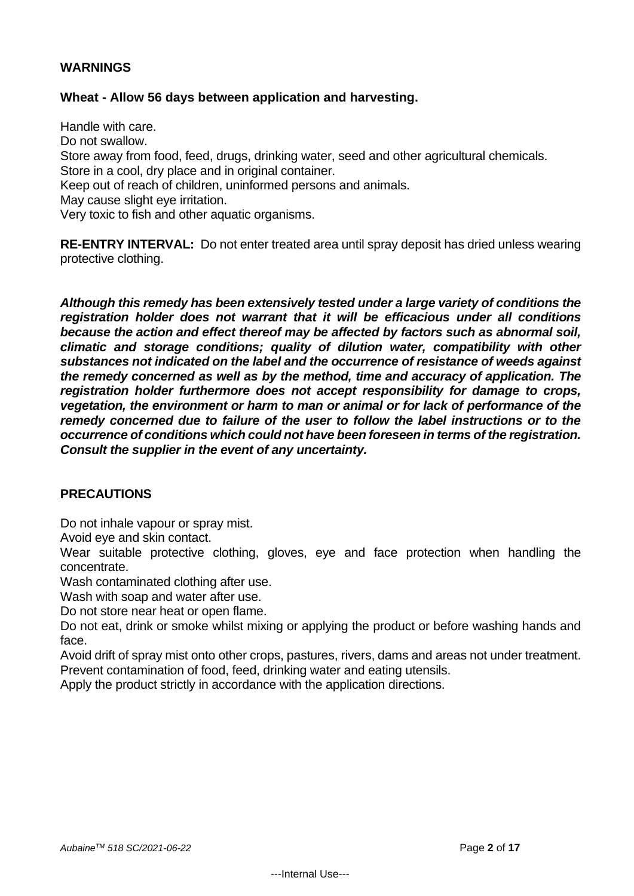# **WARNINGS**

# **Wheat - Allow 56 days between application and harvesting.**

Handle with care. Do not swallow. Store away from food, feed, drugs, drinking water, seed and other agricultural chemicals. Store in a cool, dry place and in original container. Keep out of reach of children, uninformed persons and animals. May cause slight eye irritation. Very toxic to fish and other aquatic organisms.

**RE-ENTRY INTERVAL:** Do not enter treated area until spray deposit has dried unless wearing protective clothing.

*Although this remedy has been extensively tested under a large variety of conditions the registration holder does not warrant that it will be efficacious under all conditions because the action and effect thereof may be affected by factors such as abnormal soil, climatic and storage conditions; quality of dilution water, compatibility with other substances not indicated on the label and the occurrence of resistance of weeds against the remedy concerned as well as by the method, time and accuracy of application. The registration holder furthermore does not accept responsibility for damage to crops, vegetation, the environment or harm to man or animal or for lack of performance of the remedy concerned due to failure of the user to follow the label instructions or to the occurrence of conditions which could not have been foreseen in terms of the registration. Consult the supplier in the event of any uncertainty.*

# **PRECAUTIONS**

Do not inhale vapour or spray mist.

Avoid eye and skin contact.

Wear suitable protective clothing, gloves, eye and face protection when handling the concentrate.

Wash contaminated clothing after use.

Wash with soap and water after use.

Do not store near heat or open flame.

Do not eat, drink or smoke whilst mixing or applying the product or before washing hands and face.

Avoid drift of spray mist onto other crops, pastures, rivers, dams and areas not under treatment. Prevent contamination of food, feed, drinking water and eating utensils.

Apply the product strictly in accordance with the application directions.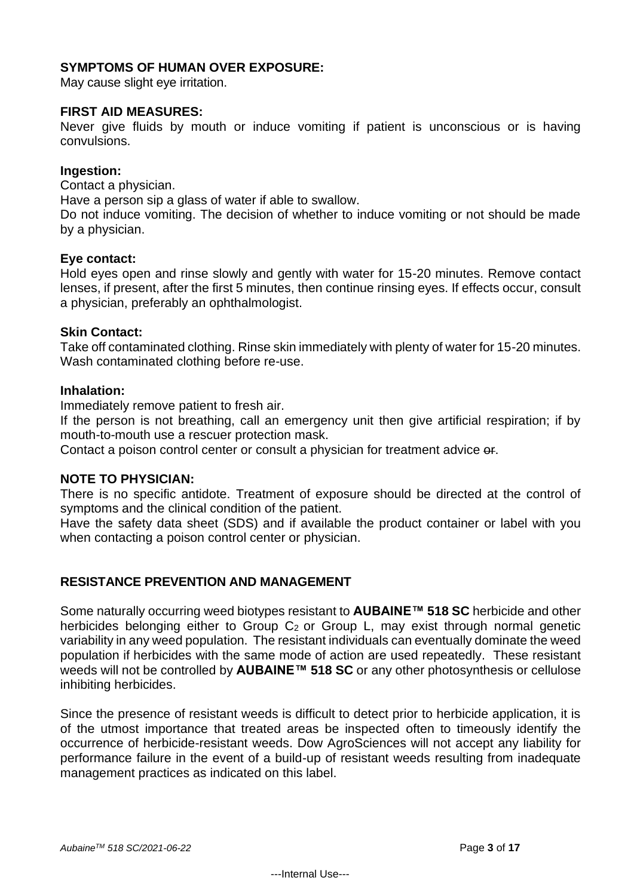# **SYMPTOMS OF HUMAN OVER EXPOSURE:**

May cause slight eye irritation.

#### **FIRST AID MEASURES:**

Never give fluids by mouth or induce vomiting if patient is unconscious or is having convulsions.

#### **Ingestion:**

Contact a physician.

Have a person sip a glass of water if able to swallow.

Do not induce vomiting. The decision of whether to induce vomiting or not should be made by a physician.

#### **Eye contact:**

Hold eyes open and rinse slowly and gently with water for 15-20 minutes. Remove contact lenses, if present, after the first 5 minutes, then continue rinsing eyes. If effects occur, consult a physician, preferably an ophthalmologist.

#### **Skin Contact:**

Take off contaminated clothing. Rinse skin immediately with plenty of water for 15-20 minutes. Wash contaminated clothing before re-use.

#### **Inhalation:**

Immediately remove patient to fresh air.

If the person is not breathing, call an emergency unit then give artificial respiration; if by mouth-to-mouth use a rescuer protection mask.

Contact a poison control center or consult a physician for treatment advice or.

#### **NOTE TO PHYSICIAN:**

There is no specific antidote. Treatment of exposure should be directed at the control of symptoms and the clinical condition of the patient.

Have the safety data sheet (SDS) and if available the product container or label with you when contacting a poison control center or physician.

#### **RESISTANCE PREVENTION AND MANAGEMENT**

Some naturally occurring weed biotypes resistant to **AUBAINE™ 518 SC** herbicide and other herbicides belonging either to Group  $C_2$  or Group L, may exist through normal genetic variability in any weed population. The resistant individuals can eventually dominate the weed population if herbicides with the same mode of action are used repeatedly. These resistant weeds will not be controlled by **AUBAINE™ 518 SC** or any other photosynthesis or cellulose inhibiting herbicides.

Since the presence of resistant weeds is difficult to detect prior to herbicide application, it is of the utmost importance that treated areas be inspected often to timeously identify the occurrence of herbicide-resistant weeds. Dow AgroSciences will not accept any liability for performance failure in the event of a build-up of resistant weeds resulting from inadequate management practices as indicated on this label.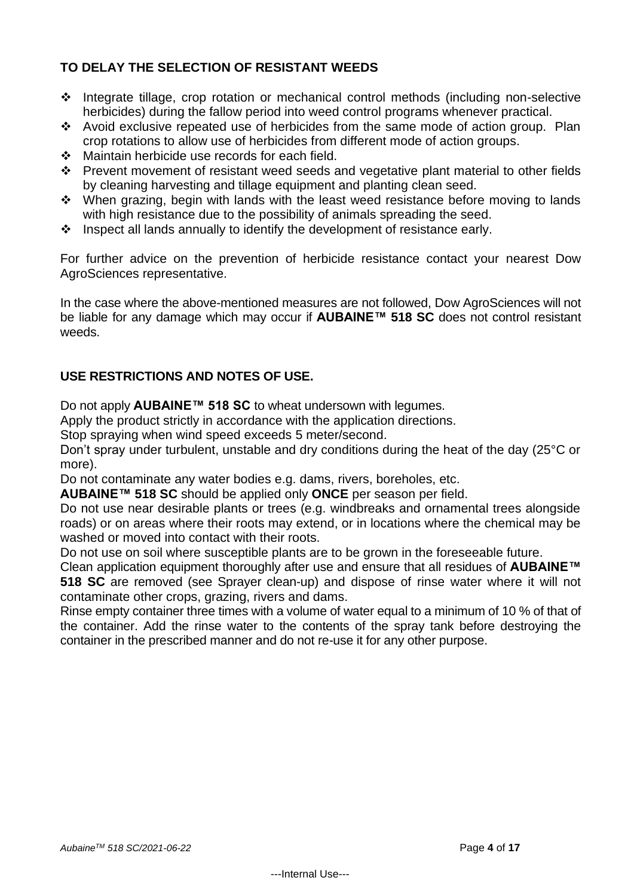# **TO DELAY THE SELECTION OF RESISTANT WEEDS**

- ❖ Integrate tillage, crop rotation or mechanical control methods (including non-selective herbicides) during the fallow period into weed control programs whenever practical.
- ❖ Avoid exclusive repeated use of herbicides from the same mode of action group. Plan crop rotations to allow use of herbicides from different mode of action groups.
- ❖ Maintain herbicide use records for each field.
- ❖ Prevent movement of resistant weed seeds and vegetative plant material to other fields by cleaning harvesting and tillage equipment and planting clean seed.
- ❖ When grazing, begin with lands with the least weed resistance before moving to lands with high resistance due to the possibility of animals spreading the seed.
- ❖ Inspect all lands annually to identify the development of resistance early.

For further advice on the prevention of herbicide resistance contact your nearest Dow AgroSciences representative.

In the case where the above-mentioned measures are not followed, Dow AgroSciences will not be liable for any damage which may occur if **AUBAINE™ 518 SC** does not control resistant weeds.

# **USE RESTRICTIONS AND NOTES OF USE.**

Do not apply **AUBAINE™ 518 SC** to wheat undersown with legumes.

Apply the product strictly in accordance with the application directions.

Stop spraying when wind speed exceeds 5 meter/second.

Don't spray under turbulent, unstable and dry conditions during the heat of the day (25°C or more).

Do not contaminate any water bodies e.g. dams, rivers, boreholes, etc.

**AUBAINE™ 518 SC** should be applied only **ONCE** per season per field.

Do not use near desirable plants or trees (e.g. windbreaks and ornamental trees alongside roads) or on areas where their roots may extend, or in locations where the chemical may be washed or moved into contact with their roots.

Do not use on soil where susceptible plants are to be grown in the foreseeable future.

Clean application equipment thoroughly after use and ensure that all residues of **AUBAINE™ 518 SC** are removed (see Sprayer clean-up) and dispose of rinse water where it will not contaminate other crops, grazing, rivers and dams.

Rinse empty container three times with a volume of water equal to a minimum of 10 % of that of the container. Add the rinse water to the contents of the spray tank before destroying the container in the prescribed manner and do not re-use it for any other purpose.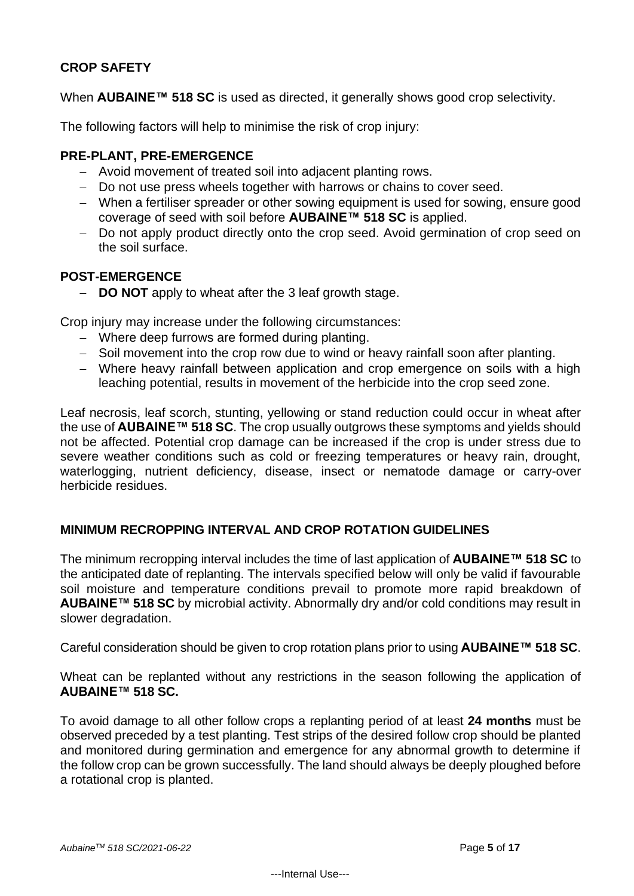# **CROP SAFETY**

When **AUBAINE™ 518 SC** is used as directed, it generally shows good crop selectivity.

The following factors will help to minimise the risk of crop injury:

# **PRE-PLANT, PRE-EMERGENCE**

- − Avoid movement of treated soil into adjacent planting rows.
- − Do not use press wheels together with harrows or chains to cover seed.
- − When a fertiliser spreader or other sowing equipment is used for sowing, ensure good coverage of seed with soil before **AUBAINE™ 518 SC** is applied.
- − Do not apply product directly onto the crop seed. Avoid germination of crop seed on the soil surface.

# **POST-EMERGENCE**

− **DO NOT** apply to wheat after the 3 leaf growth stage.

Crop injury may increase under the following circumstances:

- − Where deep furrows are formed during planting.
- − Soil movement into the crop row due to wind or heavy rainfall soon after planting.
- − Where heavy rainfall between application and crop emergence on soils with a high leaching potential, results in movement of the herbicide into the crop seed zone.

Leaf necrosis, leaf scorch, stunting, yellowing or stand reduction could occur in wheat after the use of **AUBAINE™ 518 SC**. The crop usually outgrows these symptoms and yields should not be affected. Potential crop damage can be increased if the crop is under stress due to severe weather conditions such as cold or freezing temperatures or heavy rain, drought, waterlogging, nutrient deficiency, disease, insect or nematode damage or carry-over herbicide residues.

# **MINIMUM RECROPPING INTERVAL AND CROP ROTATION GUIDELINES**

The minimum recropping interval includes the time of last application of **AUBAINE™ 518 SC** to the anticipated date of replanting. The intervals specified below will only be valid if favourable soil moisture and temperature conditions prevail to promote more rapid breakdown of **AUBAINE™ 518 SC** by microbial activity. Abnormally dry and/or cold conditions may result in slower degradation.

Careful consideration should be given to crop rotation plans prior to using **AUBAINE™ 518 SC**.

Wheat can be replanted without any restrictions in the season following the application of **AUBAINE™ 518 SC.**

To avoid damage to all other follow crops a replanting period of at least **24 months** must be observed preceded by a test planting. Test strips of the desired follow crop should be planted and monitored during germination and emergence for any abnormal growth to determine if the follow crop can be grown successfully. The land should always be deeply ploughed before a rotational crop is planted.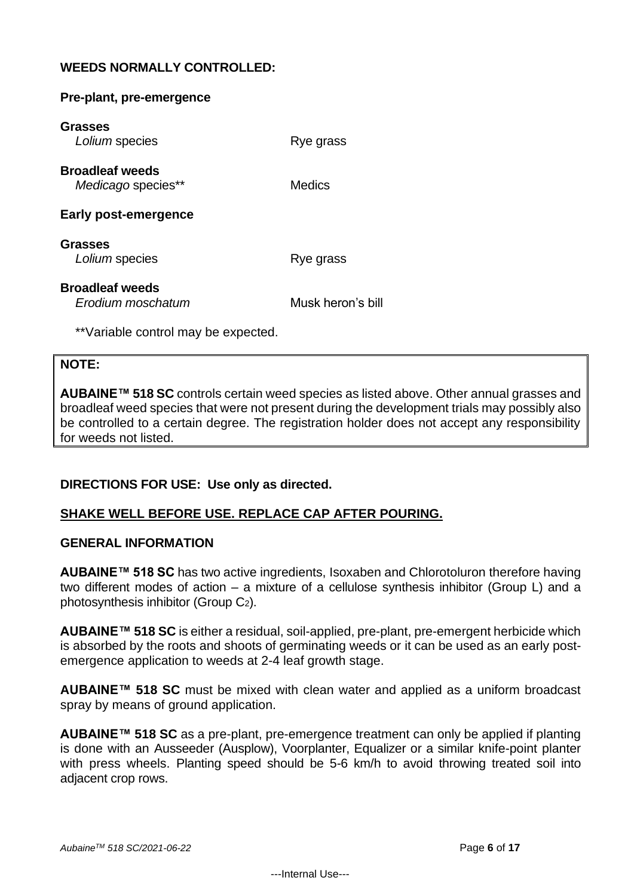# **WEEDS NORMALLY CONTROLLED:**

**Pre-plant, pre-emergence**

| Rye grass         |
|-------------------|
| Medics            |
|                   |
| Rye grass         |
| Musk heron's bill |
|                   |

\*\*Variable control may be expected.

#### **NOTE:**

**AUBAINE™ 518 SC** controls certain weed species as listed above. Other annual grasses and broadleaf weed species that were not present during the development trials may possibly also be controlled to a certain degree. The registration holder does not accept any responsibility for weeds not listed.

# **DIRECTIONS FOR USE: Use only as directed.**

# **SHAKE WELL BEFORE USE. REPLACE CAP AFTER POURING.**

#### **GENERAL INFORMATION**

**AUBAINE™ 518 SC** has two active ingredients, Isoxaben and Chlorotoluron therefore having two different modes of action – a mixture of a cellulose synthesis inhibitor (Group L) and a photosynthesis inhibitor (Group C2).

**AUBAINE™ 518 SC** is either a residual, soil-applied, pre-plant, pre-emergent herbicide which is absorbed by the roots and shoots of germinating weeds or it can be used as an early postemergence application to weeds at 2-4 leaf growth stage.

**AUBAINE™ 518 SC** must be mixed with clean water and applied as a uniform broadcast spray by means of ground application.

**AUBAINE™ 518 SC** as a pre-plant, pre-emergence treatment can only be applied if planting is done with an Ausseeder (Ausplow), Voorplanter, Equalizer or a similar knife-point planter with press wheels. Planting speed should be 5-6 km/h to avoid throwing treated soil into adjacent crop rows.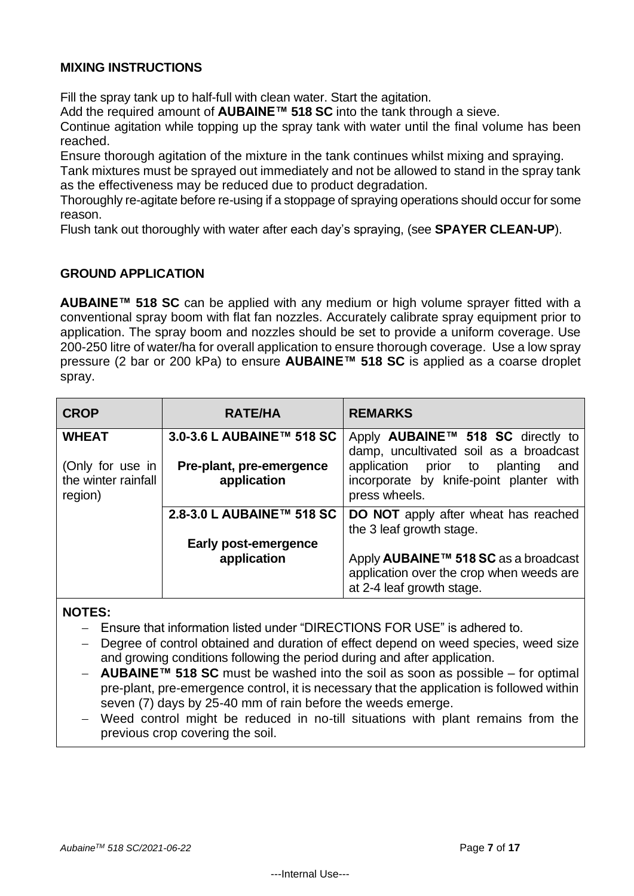# **MIXING INSTRUCTIONS**

Fill the spray tank up to half-full with clean water. Start the agitation.

Add the required amount of **AUBAINE™ 518 SC** into the tank through a sieve.

Continue agitation while topping up the spray tank with water until the final volume has been reached.

Ensure thorough agitation of the mixture in the tank continues whilst mixing and spraying.

Tank mixtures must be sprayed out immediately and not be allowed to stand in the spray tank as the effectiveness may be reduced due to product degradation.

Thoroughly re-agitate before re-using if a stoppage of spraying operations should occur for some reason.

Flush tank out thoroughly with water after each day's spraying, (see **SPAYER CLEAN-UP**).

# **GROUND APPLICATION**

**AUBAINE™ 518 SC** can be applied with any medium or high volume sprayer fitted with a conventional spray boom with flat fan nozzles. Accurately calibrate spray equipment prior to application. The spray boom and nozzles should be set to provide a uniform coverage. Use 200-250 litre of water/ha for overall application to ensure thorough coverage. Use a low spray pressure (2 bar or 200 kPa) to ensure **AUBAINE™ 518 SC** is applied as a coarse droplet spray.

| <b>CROP</b>                                        | <b>RATE/HA</b>                          | <b>REMARKS</b>                                                                                                                                   |
|----------------------------------------------------|-----------------------------------------|--------------------------------------------------------------------------------------------------------------------------------------------------|
| <b>WHEAT</b>                                       | 3.0-3.6 L AUBAINE™ 518 SC               | Apply AUBAINE™ 518 SC directly to                                                                                                                |
| (Only for use in<br>the winter rainfall<br>region) | Pre-plant, pre-emergence<br>application | damp, uncultivated soil as a broadcast<br>application<br>prior to<br>planting<br>and<br>incorporate by knife-point planter with<br>press wheels. |
|                                                    | 2.8-3.0 L AUBAINE™ 518 SC               | <b>DO NOT</b> apply after wheat has reached<br>the 3 leaf growth stage.                                                                          |
|                                                    | Early post-emergence                    |                                                                                                                                                  |
|                                                    | application                             | Apply AUBAINE <sup>™</sup> 518 SC as a broadcast<br>application over the crop when weeds are<br>at 2-4 leaf growth stage.                        |

# **NOTES:**

- − Ensure that information listed under "DIRECTIONS FOR USE" is adhered to.
- Degree of control obtained and duration of effect depend on weed species, weed size and growing conditions following the period during and after application.
- − **AUBAINE™ 518 SC** must be washed into the soil as soon as possible for optimal pre-plant, pre-emergence control, it is necessary that the application is followed within seven (7) days by 25-40 mm of rain before the weeds emerge.
- Weed control might be reduced in no-till situations with plant remains from the previous crop covering the soil.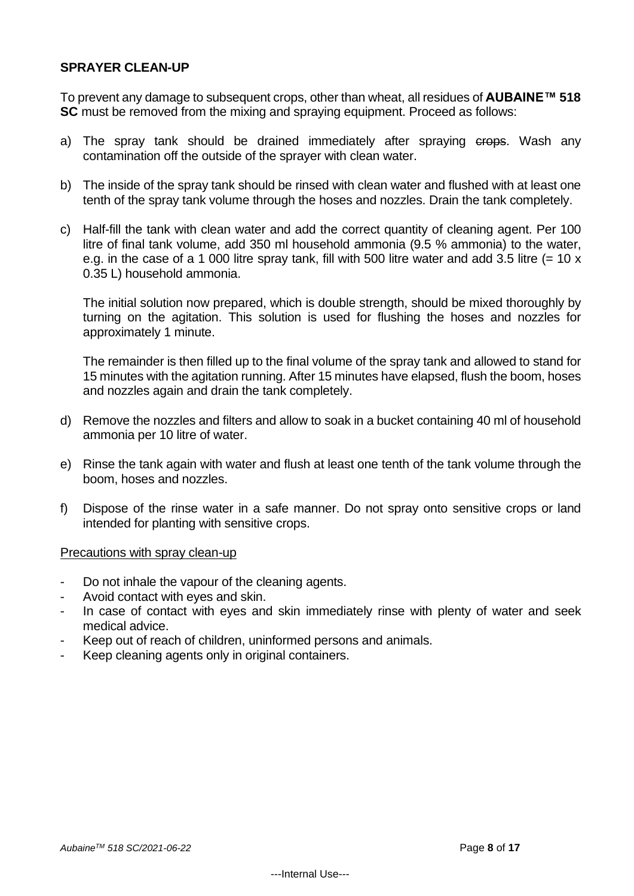#### **SPRAYER CLEAN-UP**

To prevent any damage to subsequent crops, other than wheat, all residues of **AUBAINE™ 518 SC** must be removed from the mixing and spraying equipment. Proceed as follows:

- a) The spray tank should be drained immediately after spraying crops. Wash any contamination off the outside of the sprayer with clean water.
- b) The inside of the spray tank should be rinsed with clean water and flushed with at least one tenth of the spray tank volume through the hoses and nozzles. Drain the tank completely.
- c) Half-fill the tank with clean water and add the correct quantity of cleaning agent. Per 100 litre of final tank volume, add 350 ml household ammonia (9.5 % ammonia) to the water, e.g. in the case of a 1 000 litre spray tank, fill with 500 litre water and add 3.5 litre  $(= 10 \times$ 0.35 L) household ammonia.

The initial solution now prepared, which is double strength, should be mixed thoroughly by turning on the agitation. This solution is used for flushing the hoses and nozzles for approximately 1 minute.

The remainder is then filled up to the final volume of the spray tank and allowed to stand for 15 minutes with the agitation running. After 15 minutes have elapsed, flush the boom, hoses and nozzles again and drain the tank completely.

- d) Remove the nozzles and filters and allow to soak in a bucket containing 40 ml of household ammonia per 10 litre of water.
- e) Rinse the tank again with water and flush at least one tenth of the tank volume through the boom, hoses and nozzles.
- f) Dispose of the rinse water in a safe manner. Do not spray onto sensitive crops or land intended for planting with sensitive crops.

Precautions with spray clean-up

- Do not inhale the vapour of the cleaning agents.
- Avoid contact with eyes and skin.
- In case of contact with eyes and skin immediately rinse with plenty of water and seek medical advice.
- Keep out of reach of children, uninformed persons and animals.
- Keep cleaning agents only in original containers.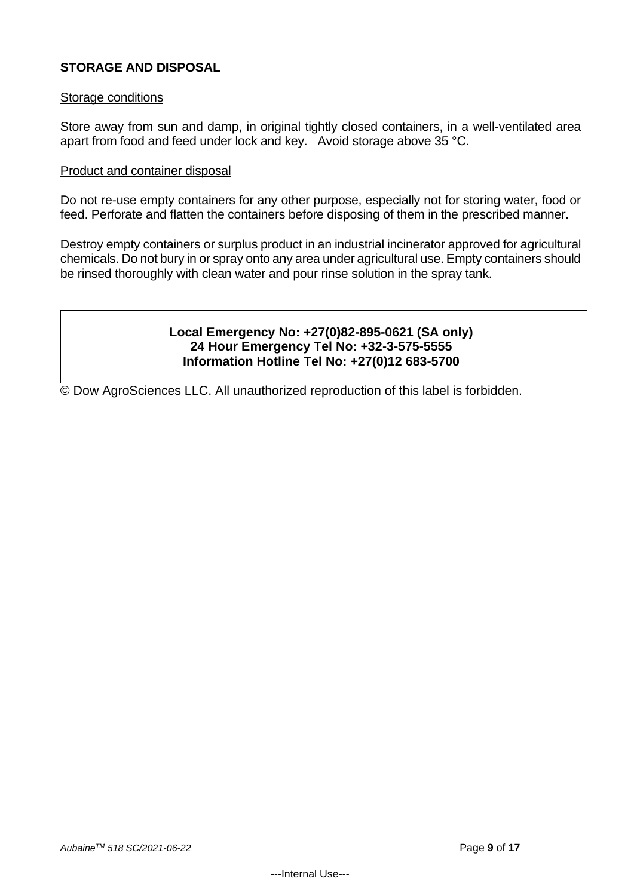# **STORAGE AND DISPOSAL**

#### Storage conditions

Store away from sun and damp, in original tightly closed containers, in a well-ventilated area apart from food and feed under lock and key. Avoid storage above 35 °C.

#### Product and container disposal

Do not re-use empty containers for any other purpose, especially not for storing water, food or feed. Perforate and flatten the containers before disposing of them in the prescribed manner.

Destroy empty containers or surplus product in an industrial incinerator approved for agricultural chemicals. Do not bury in or spray onto any area under agricultural use. Empty containers should be rinsed thoroughly with clean water and pour rinse solution in the spray tank.

# **Local Emergency No: +27(0)82-895-0621 (SA only) 24 Hour Emergency Tel No: +32-3-575-5555 Information Hotline Tel No: +27(0)12 683-5700**

© Dow AgroSciences LLC. All unauthorized reproduction of this label is forbidden.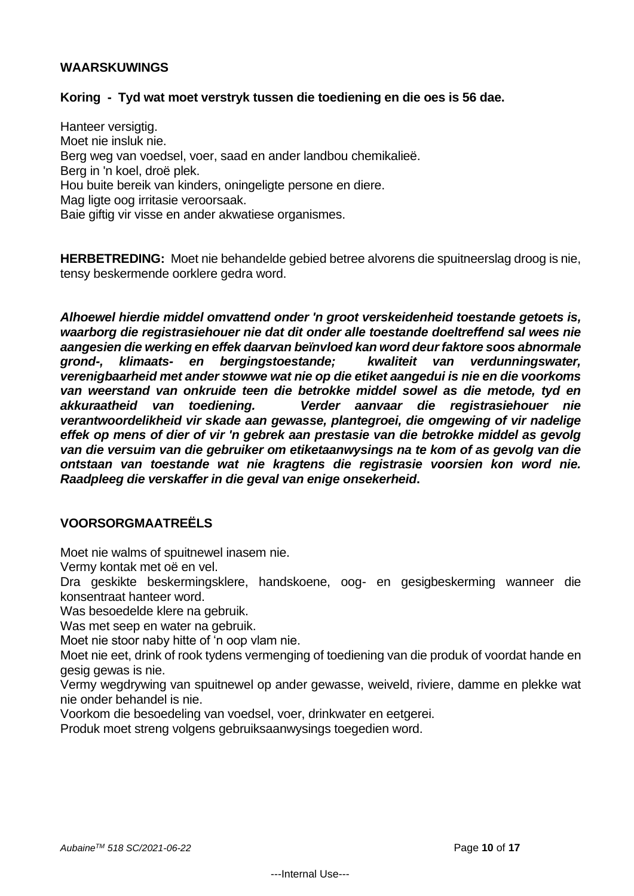# **WAARSKUWINGS**

#### **Koring - Tyd wat moet verstryk tussen die toediening en die oes is 56 dae.**

Hanteer versigtig. Moet nie insluk nie. Berg weg van voedsel, voer, saad en ander landbou chemikalieë. Berg in 'n koel, droë plek. Hou buite bereik van kinders, oningeligte persone en diere. Mag ligte oog irritasie veroorsaak. Baie giftig vir visse en ander akwatiese organismes.

**HERBETREDING:** Moet nie behandelde gebied betree alvorens die spuitneerslag droog is nie, tensy beskermende oorklere gedra word.

*Alhoewel hierdie middel omvattend onder 'n groot verskeidenheid toestande getoets is, waarborg die registrasiehouer nie dat dit onder alle toestande doeltreffend sal wees nie aangesien die werking en effek daarvan beïnvloed kan word deur faktore soos abnormale grond-, klimaats- en bergingstoestande; kwaliteit van verdunningswater, verenigbaarheid met ander stowwe wat nie op die etiket aangedui is nie en die voorkoms van weerstand van onkruide teen die betrokke middel sowel as die metode, tyd en akkuraatheid van toediening. Verder aanvaar die registrasiehouer nie verantwoordelikheid vir skade aan gewasse, plantegroei, die omgewing of vir nadelige effek op mens of dier of vir 'n gebrek aan prestasie van die betrokke middel as gevolg van die versuim van die gebruiker om etiketaanwysings na te kom of as gevolg van die ontstaan van toestande wat nie kragtens die registrasie voorsien kon word nie. Raadpleeg die verskaffer in die geval van enige onsekerheid***.**

# **VOORSORGMAATREËLS**

Moet nie walms of spuitnewel inasem nie.

Vermy kontak met oë en vel.

Dra geskikte beskermingsklere, handskoene, oog- en gesigbeskerming wanneer die konsentraat hanteer word.

Was besoedelde klere na gebruik.

Was met seep en water na gebruik.

Moet nie stoor naby hitte of 'n oop vlam nie.

Moet nie eet, drink of rook tydens vermenging of toediening van die produk of voordat hande en gesig gewas is nie.

Vermy wegdrywing van spuitnewel op ander gewasse, weiveld, riviere, damme en plekke wat nie onder behandel is nie.

Voorkom die besoedeling van voedsel, voer, drinkwater en eetgerei.

Produk moet streng volgens gebruiksaanwysings toegedien word.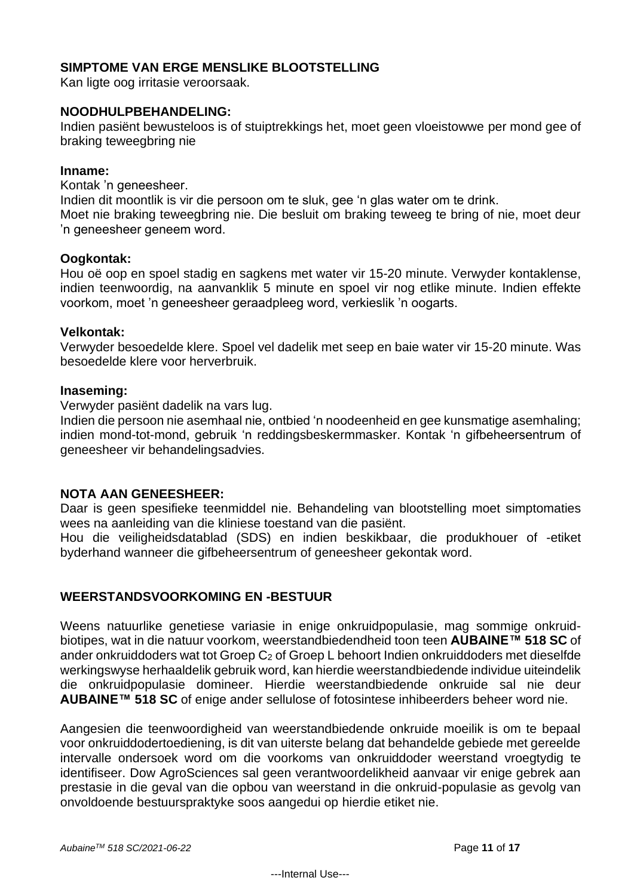# **SIMPTOME VAN ERGE MENSLIKE BLOOTSTELLING**

Kan ligte oog irritasie veroorsaak.

#### **NOODHULPBEHANDELING:**

Indien pasiënt bewusteloos is of stuiptrekkings het, moet geen vloeistowwe per mond gee of braking teweegbring nie

#### **Inname:**

Kontak 'n geneesheer.

Indien dit moontlik is vir die persoon om te sluk, gee 'n glas water om te drink. Moet nie braking teweegbring nie. Die besluit om braking teweeg te bring of nie, moet deur 'n geneesheer geneem word.

#### **Oogkontak:**

Hou oë oop en spoel stadig en sagkens met water vir 15-20 minute. Verwyder kontaklense, indien teenwoordig, na aanvanklik 5 minute en spoel vir nog etlike minute. Indien effekte voorkom, moet 'n geneesheer geraadpleeg word, verkieslik 'n oogarts.

#### **Velkontak:**

Verwyder besoedelde klere. Spoel vel dadelik met seep en baie water vir 15-20 minute. Was besoedelde klere voor herverbruik.

#### **Inaseming:**

Verwyder pasiënt dadelik na vars lug.

Indien die persoon nie asemhaal nie, ontbied 'n noodeenheid en gee kunsmatige asemhaling; indien mond-tot-mond, gebruik 'n reddingsbeskermmasker. Kontak 'n gifbeheersentrum of geneesheer vir behandelingsadvies.

# **NOTA AAN GENEESHEER:**

Daar is geen spesifieke teenmiddel nie. Behandeling van blootstelling moet simptomaties wees na aanleiding van die kliniese toestand van die pasiënt.

Hou die veiligheidsdatablad (SDS) en indien beskikbaar, die produkhouer of -etiket byderhand wanneer die gifbeheersentrum of geneesheer gekontak word.

# **WEERSTANDSVOORKOMING EN -BESTUUR**

Weens natuurlike genetiese variasie in enige onkruidpopulasie, mag sommige onkruidbiotipes, wat in die natuur voorkom, weerstandbiedendheid toon teen **AUBAINE™ 518 SC** of ander onkruiddoders wat tot Groep C<sup>2</sup> of Groep L behoort Indien onkruiddoders met dieselfde werkingswyse herhaaldelik gebruik word, kan hierdie weerstandbiedende individue uiteindelik die onkruidpopulasie domineer. Hierdie weerstandbiedende onkruide sal nie deur **AUBAINE™ 518 SC** of enige ander sellulose of fotosintese inhibeerders beheer word nie.

Aangesien die teenwoordigheid van weerstandbiedende onkruide moeilik is om te bepaal voor onkruiddodertoediening, is dit van uiterste belang dat behandelde gebiede met gereelde intervalle ondersoek word om die voorkoms van onkruiddoder weerstand vroegtydig te identifiseer. Dow AgroSciences sal geen verantwoordelikheid aanvaar vir enige gebrek aan prestasie in die geval van die opbou van weerstand in die onkruid-populasie as gevolg van onvoldoende bestuurspraktyke soos aangedui op hierdie etiket nie.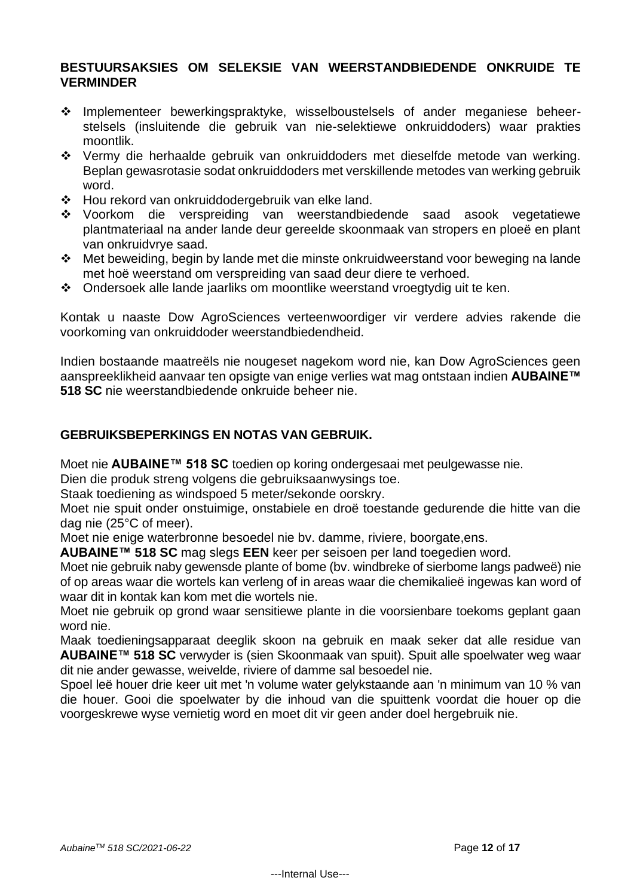#### **BESTUURSAKSIES OM SELEKSIE VAN WEERSTANDBIEDENDE ONKRUIDE TE VERMINDER**

- ❖ Implementeer bewerkingspraktyke, wisselboustelsels of ander meganiese beheerstelsels (insluitende die gebruik van nie-selektiewe onkruiddoders) waar prakties moontlik.
- ❖ Vermy die herhaalde gebruik van onkruiddoders met dieselfde metode van werking. Beplan gewasrotasie sodat onkruiddoders met verskillende metodes van werking gebruik word.
- ❖ Hou rekord van onkruiddodergebruik van elke land.
- ❖ Voorkom die verspreiding van weerstandbiedende saad asook vegetatiewe plantmateriaal na ander lande deur gereelde skoonmaak van stropers en ploeë en plant van onkruidvrye saad.
- ❖ Met beweiding, begin by lande met die minste onkruidweerstand voor beweging na lande met hoë weerstand om verspreiding van saad deur diere te verhoed.
- ❖ Ondersoek alle lande jaarliks om moontlike weerstand vroegtydig uit te ken.

Kontak u naaste Dow AgroSciences verteenwoordiger vir verdere advies rakende die voorkoming van onkruiddoder weerstandbiedendheid.

Indien bostaande maatreëls nie nougeset nagekom word nie, kan Dow AgroSciences geen aanspreeklikheid aanvaar ten opsigte van enige verlies wat mag ontstaan indien **AUBAINE™ 518 SC** nie weerstandbiedende onkruide beheer nie.

#### **GEBRUIKSBEPERKINGS EN NOTAS VAN GEBRUIK.**

Moet nie **AUBAINE™ 518 SC** toedien op koring ondergesaai met peulgewasse nie.

Dien die produk streng volgens die gebruiksaanwysings toe.

Staak toediening as windspoed 5 meter/sekonde oorskry.

Moet nie spuit onder onstuimige, onstabiele en droë toestande gedurende die hitte van die dag nie (25°C of meer).

Moet nie enige waterbronne besoedel nie bv. damme, riviere, boorgate,ens.

**AUBAINE™ 518 SC** mag slegs **EEN** keer per seisoen per land toegedien word.

Moet nie gebruik naby gewensde plante of bome (bv. windbreke of sierbome langs padweë) nie of op areas waar die wortels kan verleng of in areas waar die chemikalieë ingewas kan word of waar dit in kontak kan kom met die wortels nie.

Moet nie gebruik op grond waar sensitiewe plante in die voorsienbare toekoms geplant gaan word nie.

Maak toedieningsapparaat deeglik skoon na gebruik en maak seker dat alle residue van **AUBAINE™ 518 SC** verwyder is (sien Skoonmaak van spuit). Spuit alle spoelwater weg waar dit nie ander gewasse, weivelde, riviere of damme sal besoedel nie.

Spoel leë houer drie keer uit met 'n volume water gelykstaande aan 'n minimum van 10 % van die houer. Gooi die spoelwater by die inhoud van die spuittenk voordat die houer op die voorgeskrewe wyse vernietig word en moet dit vir geen ander doel hergebruik nie.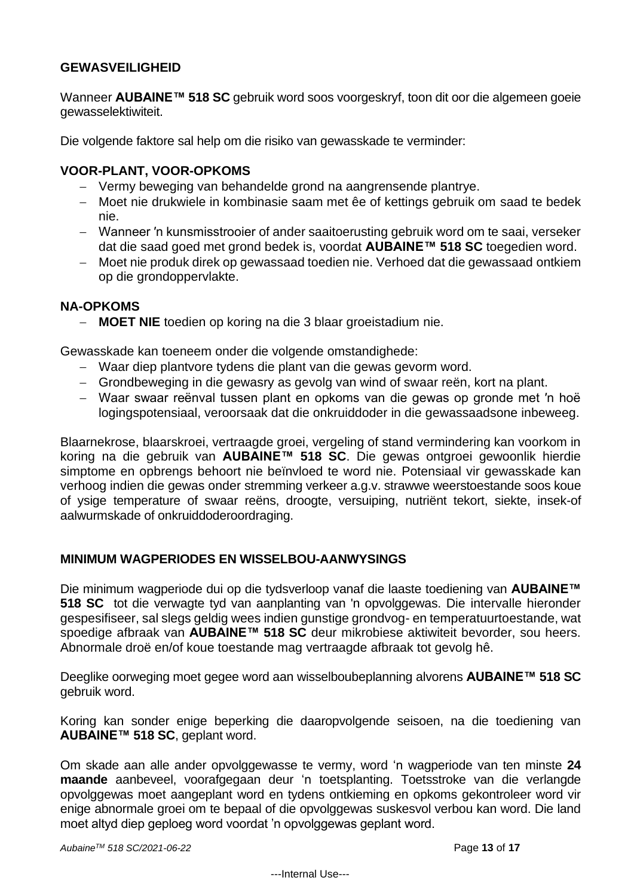# **GEWASVEILIGHEID**

Wanneer **AUBAINE™ 518 SC** gebruik word soos voorgeskryf, toon dit oor die algemeen goeie gewasselektiwiteit.

Die volgende faktore sal help om die risiko van gewasskade te verminder:

# **VOOR-PLANT, VOOR-OPKOMS**

- − Vermy beweging van behandelde grond na aangrensende plantrye.
- − Moet nie drukwiele in kombinasie saam met êe of kettings gebruik om saad te bedek nie.
- − Wanneer ′n kunsmisstrooier of ander saaitoerusting gebruik word om te saai, verseker dat die saad goed met grond bedek is, voordat **AUBAINE™ 518 SC** toegedien word.
- − Moet nie produk direk op gewassaad toedien nie. Verhoed dat die gewassaad ontkiem op die grondoppervlakte.

# **NA-OPKOMS**

− **MOET NIE** toedien op koring na die 3 blaar groeistadium nie.

Gewasskade kan toeneem onder die volgende omstandighede:

- − Waar diep plantvore tydens die plant van die gewas gevorm word.
- − Grondbeweging in die gewasry as gevolg van wind of swaar reën, kort na plant.
- − Waar swaar reënval tussen plant en opkoms van die gewas op gronde met ′n hoë logingspotensiaal, veroorsaak dat die onkruiddoder in die gewassaadsone inbeweeg.

Blaarnekrose, blaarskroei, vertraagde groei, vergeling of stand vermindering kan voorkom in koring na die gebruik van **AUBAINE™ 518 SC**. Die gewas ontgroei gewoonlik hierdie simptome en opbrengs behoort nie beïnvloed te word nie. Potensiaal vir gewasskade kan verhoog indien die gewas onder stremming verkeer a.g.v. strawwe weerstoestande soos koue of ysige temperature of swaar reëns, droogte, versuiping, nutriënt tekort, siekte, insek-of aalwurmskade of onkruiddoderoordraging.

# **MINIMUM WAGPERIODES EN WISSELBOU-AANWYSINGS**

Die minimum wagperiode dui op die tydsverloop vanaf die laaste toediening van **AUBAINE™ 518 SC** tot die verwagte tyd van aanplanting van 'n opvolggewas. Die intervalle hieronder gespesifiseer, sal slegs geldig wees indien gunstige grondvog- en temperatuurtoestande, wat spoedige afbraak van **AUBAINE™ 518 SC** deur mikrobiese aktiwiteit bevorder, sou heers. Abnormale droë en/of koue toestande mag vertraagde afbraak tot gevolg hê.

Deeglike oorweging moet gegee word aan wisselboubeplanning alvorens **AUBAINE™ 518 SC**  gebruik word.

Koring kan sonder enige beperking die daaropvolgende seisoen, na die toediening van **AUBAINE™ 518 SC**, geplant word.

Om skade aan alle ander opvolggewasse te vermy, word 'n wagperiode van ten minste **24 maande** aanbeveel, voorafgegaan deur 'n toetsplanting. Toetsstroke van die verlangde opvolggewas moet aangeplant word en tydens ontkieming en opkoms gekontroleer word vir enige abnormale groei om te bepaal of die opvolggewas suskesvol verbou kan word. Die land moet altyd diep geploeg word voordat 'n opvolggewas geplant word.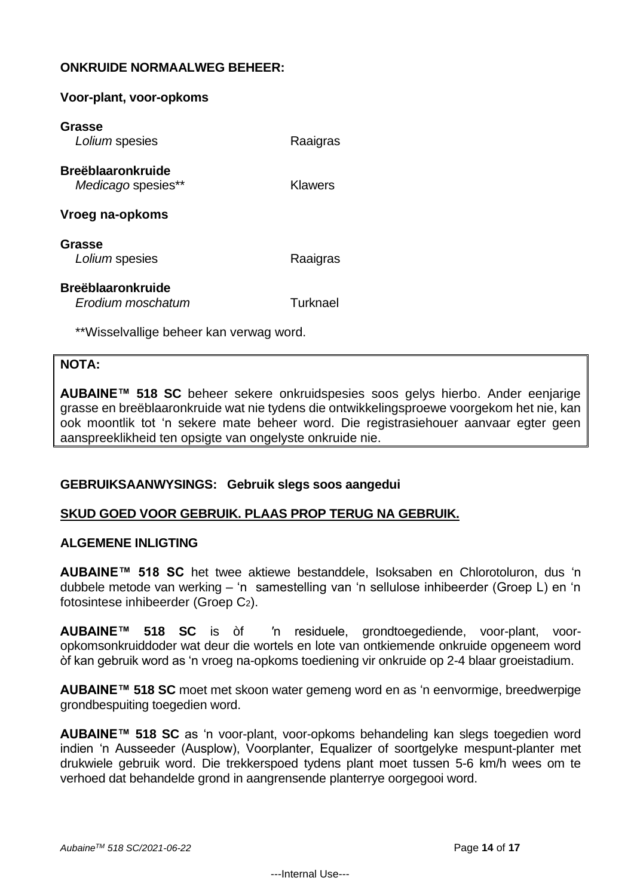# **ONKRUIDE NORMAALWEG BEHEER:**

#### **Voor-plant, voor-opkoms**

| Grasse<br>Lolium spesies                       | Raaigras |
|------------------------------------------------|----------|
| <b>Breëblaaronkruide</b><br>Medicago spesies** | Klawers  |
| Vroeg na-opkoms                                |          |
| Grasse<br>Lolium spesies                       | Raaigras |
| <b>Breëblaaronkruide</b><br>Erodium moschatum  | Turknael |

\*\*Wisselvallige beheer kan verwag word.

#### **NOTA:**

**AUBAINE™ 518 SC** beheer sekere onkruidspesies soos gelys hierbo. Ander eenjarige grasse en breëblaaronkruide wat nie tydens die ontwikkelingsproewe voorgekom het nie, kan ook moontlik tot 'n sekere mate beheer word. Die registrasiehouer aanvaar egter geen aanspreeklikheid ten opsigte van ongelyste onkruide nie.

#### **GEBRUIKSAANWYSINGS: Gebruik slegs soos aangedui**

#### **SKUD GOED VOOR GEBRUIK. PLAAS PROP TERUG NA GEBRUIK.**

#### **ALGEMENE INLIGTING**

**AUBAINE™ 518 SC** het twee aktiewe bestanddele, Isoksaben en Chlorotoluron, dus 'n dubbele metode van werking – 'n samestelling van 'n sellulose inhibeerder (Groep L) en 'n fotosintese inhibeerder (Groep C2).

**AUBAINE™ 518 SC** is òf ′n residuele, grondtoegediende, voor-plant, vooropkomsonkruiddoder wat deur die wortels en lote van ontkiemende onkruide opgeneem word òf kan gebruik word as 'n vroeg na-opkoms toediening vir onkruide op 2-4 blaar groeistadium.

**AUBAINE™ 518 SC** moet met skoon water gemeng word en as 'n eenvormige, breedwerpige grondbespuiting toegedien word.

**AUBAINE™ 518 SC** as 'n voor-plant, voor-opkoms behandeling kan slegs toegedien word indien 'n Ausseeder (Ausplow), Voorplanter, Equalizer of soortgelyke mespunt-planter met drukwiele gebruik word. Die trekkerspoed tydens plant moet tussen 5-6 km/h wees om te verhoed dat behandelde grond in aangrensende planterrye oorgegooi word.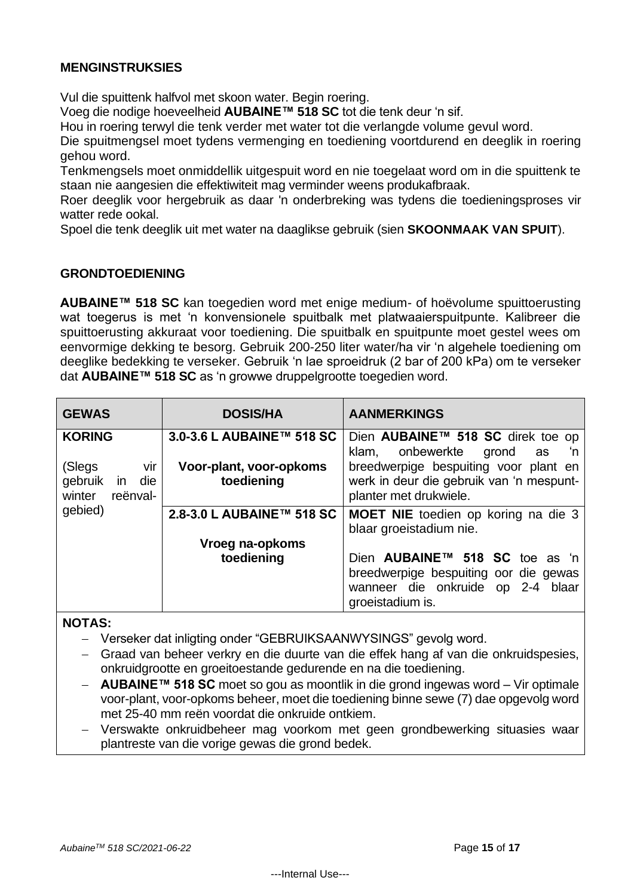# **MENGINSTRUKSIES**

Vul die spuittenk halfvol met skoon water. Begin roering.

Voeg die nodige hoeveelheid **AUBAINE™ 518 SC** tot die tenk deur 'n sif.

Hou in roering terwyl die tenk verder met water tot die verlangde volume gevul word.

Die spuitmengsel moet tydens vermenging en toediening voortdurend en deeglik in roering gehou word.

Tenkmengsels moet onmiddellik uitgespuit word en nie toegelaat word om in die spuittenk te staan nie aangesien die effektiwiteit mag verminder weens produkafbraak.

Roer deeglik voor hergebruik as daar 'n onderbreking was tydens die toedieningsproses vir watter rede ookal.

Spoel die tenk deeglik uit met water na daaglikse gebruik (sien **SKOONMAAK VAN SPUIT**).

#### **GRONDTOEDIENING**

**AUBAINE™ 518 SC** kan toegedien word met enige medium- of hoëvolume spuittoerusting wat toegerus is met 'n konvensionele spuitbalk met platwaaierspuitpunte. Kalibreer die spuittoerusting akkuraat voor toediening. Die spuitbalk en spuitpunte moet gestel wees om eenvormige dekking te besorg. Gebruik 200-250 liter water/ha vir 'n algehele toediening om deeglike bedekking te verseker. Gebruik 'n lae sproeidruk (2 bar of 200 kPa) om te verseker dat **AUBAINE™ 518 SC** as 'n growwe druppelgrootte toegedien word.

| <b>GEWAS</b>                                                           | <b>DOSIS/HA</b>                       | <b>AANMERKINGS</b>                                                                                                                                      |
|------------------------------------------------------------------------|---------------------------------------|---------------------------------------------------------------------------------------------------------------------------------------------------------|
| <b>KORING</b>                                                          | 3.0-3.6 L AUBAINE™ 518 SC             | Dien AUBAINE™ 518 SC direk toe op                                                                                                                       |
| (Slegs<br>vir<br>gebruik<br>die<br>in<br>winter<br>reënval-<br>gebied) | Voor-plant, voor-opkoms<br>toediening | onbewerkte<br>klam,<br>grond<br>'n<br>as<br>breedwerpige bespuiting voor plant en<br>werk in deur die gebruik van 'n mespunt-<br>planter met drukwiele. |
|                                                                        | 2.8-3.0 L AUBAINE™ 518 SC             | <b>MOET NIE</b> toedien op koring na die 3                                                                                                              |
|                                                                        | Vroeg na-opkoms                       | blaar groeistadium nie.                                                                                                                                 |
|                                                                        | toediening                            | Dien <b>AUBAINE™ 518 SC</b> toe as 'n<br>breedwerpige bespuiting oor die gewas<br>wanneer die onkruide op 2-4<br>blaar<br>groeistadium is.              |

**NOTAS:**

− Verseker dat inligting onder "GEBRUIKSAANWYSINGS" gevolg word.

− Graad van beheer verkry en die duurte van die effek hang af van die onkruidspesies, onkruidgrootte en groeitoestande gedurende en na die toediening.

- − **AUBAINE™ 518 SC** moet so gou as moontlik in die grond ingewas word Vir optimale voor-plant, voor-opkoms beheer, moet die toediening binne sewe (7) dae opgevolg word met 25-40 mm reën voordat die onkruide ontkiem.
- − Verswakte onkruidbeheer mag voorkom met geen grondbewerking situasies waar plantreste van die vorige gewas die grond bedek.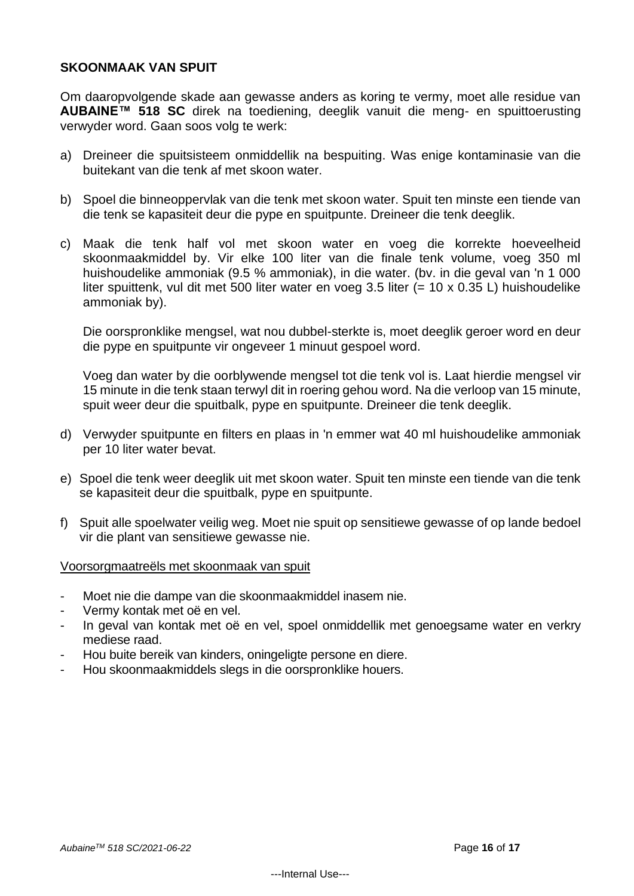#### **SKOONMAAK VAN SPUIT**

Om daaropvolgende skade aan gewasse anders as koring te vermy, moet alle residue van **AUBAINE™ 518 SC** direk na toediening, deeglik vanuit die meng- en spuittoerusting verwyder word. Gaan soos volg te werk:

- a) Dreineer die spuitsisteem onmiddellik na bespuiting. Was enige kontaminasie van die buitekant van die tenk af met skoon water.
- b) Spoel die binneoppervlak van die tenk met skoon water. Spuit ten minste een tiende van die tenk se kapasiteit deur die pype en spuitpunte. Dreineer die tenk deeglik.
- c) Maak die tenk half vol met skoon water en voeg die korrekte hoeveelheid skoonmaakmiddel by. Vir elke 100 liter van die finale tenk volume, voeg 350 ml huishoudelike ammoniak (9.5 % ammoniak), in die water. (bv. in die geval van 'n 1 000 liter spuittenk, vul dit met 500 liter water en voeg 3.5 liter (= 10 x 0.35 L) huishoudelike ammoniak by).

Die oorspronklike mengsel, wat nou dubbel-sterkte is, moet deeglik geroer word en deur die pype en spuitpunte vir ongeveer 1 minuut gespoel word.

Voeg dan water by die oorblywende mengsel tot die tenk vol is. Laat hierdie mengsel vir 15 minute in die tenk staan terwyl dit in roering gehou word. Na die verloop van 15 minute, spuit weer deur die spuitbalk, pype en spuitpunte. Dreineer die tenk deeglik.

- d) Verwyder spuitpunte en filters en plaas in 'n emmer wat 40 ml huishoudelike ammoniak per 10 liter water bevat.
- e) Spoel die tenk weer deeglik uit met skoon water. Spuit ten minste een tiende van die tenk se kapasiteit deur die spuitbalk, pype en spuitpunte.
- f) Spuit alle spoelwater veilig weg. Moet nie spuit op sensitiewe gewasse of op lande bedoel vir die plant van sensitiewe gewasse nie.

Voorsorgmaatreëls met skoonmaak van spuit

- Moet nie die dampe van die skoonmaakmiddel inasem nie.
- Vermy kontak met oë en vel.
- In geval van kontak met oë en vel, spoel onmiddellik met genoegsame water en verkry mediese raad.
- Hou buite bereik van kinders, oningeligte persone en diere.
- Hou skoonmaakmiddels slegs in die oorspronklike houers.